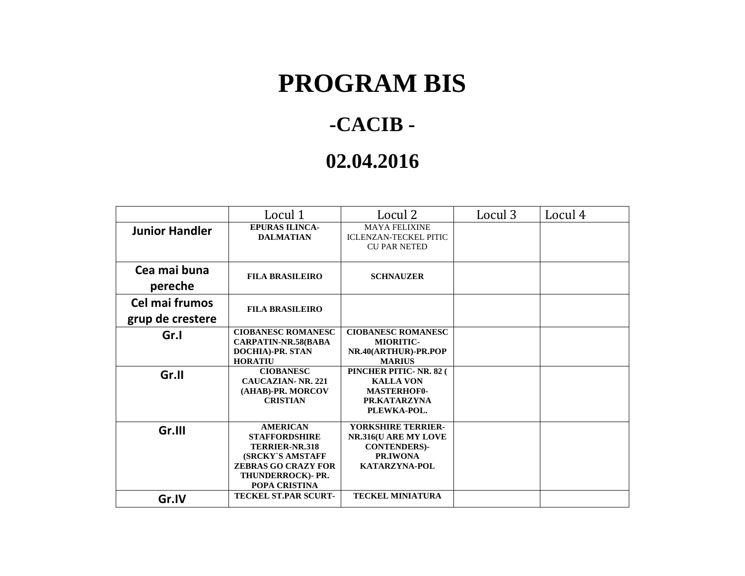## **PROGRAM BIS**

## **-CACIB -**

## **02.04.2016**

|                                    | Locul 1                                                                                                                                           | Locul 2                                                                                               | Locul 3 | Locul 4 |
|------------------------------------|---------------------------------------------------------------------------------------------------------------------------------------------------|-------------------------------------------------------------------------------------------------------|---------|---------|
| <b>Junior Handler</b>              | <b>EPURAS ILINCA-</b><br><b>DALMATIAN</b>                                                                                                         | <b>MAYA FELIXINE</b><br><b>ICLENZAN-TECKEL PITIC</b><br><b>CU PAR NETED</b>                           |         |         |
| Cea mai buna<br>pereche            | <b>FILA BRASILEIRO</b>                                                                                                                            | <b>SCHNAUZER</b>                                                                                      |         |         |
| Cel mai frumos<br>grup de crestere | <b>FILA BRASILEIRO</b>                                                                                                                            |                                                                                                       |         |         |
| Gr.I                               | <b>CIOBANESC ROMANESC</b><br><b>CARPATIN-NR.58(BABA</b><br><b>DOCHIA)-PR. STAN</b><br><b>HORATIU</b>                                              | <b>CIOBANESC ROMANESC</b><br><b>MIORITIC-</b><br>NR.40(ARTHUR)-PR.POP<br><b>MARIUS</b>                |         |         |
| Gr.II                              | <b>CIOBANESC</b><br><b>CAUCAZIAN-NR. 221</b><br>(AHAB)-PR. MORCOV<br><b>CRISTIAN</b>                                                              | PINCHER PITIC-NR. 82 (<br><b>KALLA VON</b><br><b>MASTERHOF0-</b><br>PR.KATARZYNA<br>PLEWKA-POL.       |         |         |
| Gr.III                             | <b>AMERICAN</b><br><b>STAFFORDSHIRE</b><br>TERRIER-NR.318<br>(SRCKY'S AMSTAFF<br><b>ZEBRAS GO CRAZY FOR</b><br>THUNDERROCK)- PR.<br>POPA CRISTINA | <b>YORKSHIRE TERRIER-</b><br>NR.316(U ARE MY LOVE<br><b>CONTENDERS)-</b><br>PR.IWONA<br>KATARZYNA-POL |         |         |
| Gr.IV                              | <b>TECKEL ST.PAR SCURT-</b>                                                                                                                       | <b>TECKEL MINIATURA</b>                                                                               |         |         |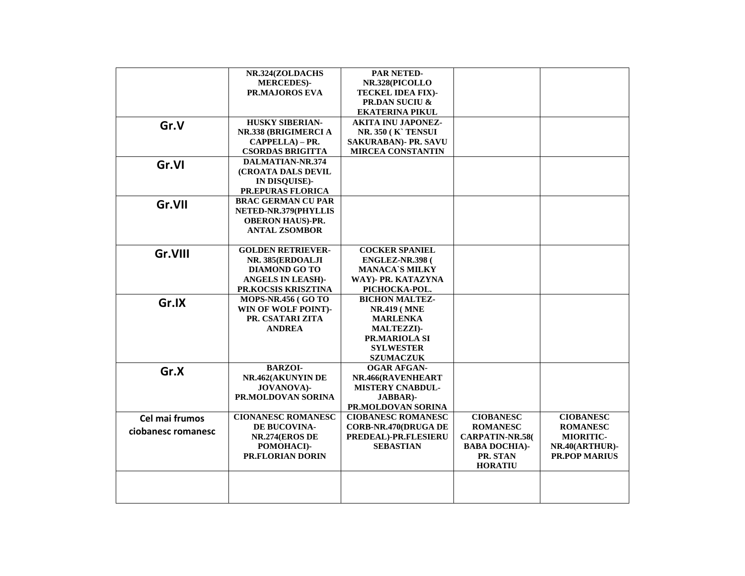|                    | NR.324(ZOLDACHS            | PAR NETED-                  |                        |                      |
|--------------------|----------------------------|-----------------------------|------------------------|----------------------|
|                    | <b>MERCEDES)-</b>          | NR.328(PICOLLO              |                        |                      |
|                    | PR.MAJOROS EVA             | TECKEL IDEA FIX)-           |                        |                      |
|                    |                            | <b>PR.DAN SUCIU &amp;</b>   |                        |                      |
|                    |                            | <b>EKATERINA PIKUL</b>      |                        |                      |
|                    | <b>HUSKY SIBERIAN-</b>     | <b>AKITA INU JAPONEZ-</b>   |                        |                      |
| Gr.V               | NR.338 (BRIGIMERCI A       | <b>NR. 350 (K) TENSUI</b>   |                        |                      |
|                    | CAPPELLA) - PR.            | SAKURABAN)- PR. SAVU        |                        |                      |
|                    | <b>CSORDAS BRIGITTA</b>    | <b>MIRCEA CONSTANTIN</b>    |                        |                      |
|                    | <b>DALMATIAN-NR.374</b>    |                             |                        |                      |
| Gr.VI              | <b>(CROATA DALS DEVIL</b>  |                             |                        |                      |
|                    |                            |                             |                        |                      |
|                    | IN DISQUISE)-              |                             |                        |                      |
|                    | PR.EPURAS FLORICA          |                             |                        |                      |
| Gr.VII             | <b>BRAC GERMAN CU PAR</b>  |                             |                        |                      |
|                    | NETED-NR.379(PHYLLIS       |                             |                        |                      |
|                    | <b>OBERON HAUS)-PR.</b>    |                             |                        |                      |
|                    | <b>ANTAL ZSOMBOR</b>       |                             |                        |                      |
|                    |                            |                             |                        |                      |
| Gr.VIII            | <b>GOLDEN RETRIEVER-</b>   | <b>COCKER SPANIEL</b>       |                        |                      |
|                    | NR. 385(ERDOALJI           | <b>ENGLEZ-NR.398 (</b>      |                        |                      |
|                    | <b>DIAMOND GO TO</b>       | <b>MANACA'S MILKY</b>       |                        |                      |
|                    | <b>ANGELS IN LEASH)-</b>   | WAY)- PR. KATAZYNA          |                        |                      |
|                    | PR.KOCSIS KRISZTINA        | PICHOCKA-POL.               |                        |                      |
| Gr.IX              | <b>MOPS-NR.456 (GO TO</b>  | <b>BICHON MALTEZ-</b>       |                        |                      |
|                    | <b>WIN OF WOLF POINT)-</b> | <b>NR.419 (MNE)</b>         |                        |                      |
|                    | PR. CSATARI ZITA           | <b>MARLENKA</b>             |                        |                      |
|                    | <b>ANDREA</b>              | <b>MALTEZZI)-</b>           |                        |                      |
|                    |                            | PR.MARIOLA SI               |                        |                      |
|                    |                            | <b>SYLWESTER</b>            |                        |                      |
|                    |                            | <b>SZUMACZUK</b>            |                        |                      |
| Gr.X               | <b>BARZOI-</b>             | <b>OGAR AFGAN-</b>          |                        |                      |
|                    | NR.462(AKUNYIN DE          | NR.466(RAVENHEART           |                        |                      |
|                    | <b>JOVANOVA</b> )-         | <b>MISTERY CNABDUL-</b>     |                        |                      |
|                    | PR.MOLDOVAN SORINA         | JABBAR)-                    |                        |                      |
|                    |                            | PR.MOLDOVAN SORINA          |                        |                      |
| Cel mai frumos     | <b>CIONANESC ROMANESC</b>  | <b>CIOBANESC ROMANESC</b>   | <b>CIOBANESC</b>       | <b>CIOBANESC</b>     |
|                    | DE BUCOVINA-               | <b>CORB-NR.470(DRUGA DE</b> | <b>ROMANESC</b>        | <b>ROMANESC</b>      |
| ciobanesc romanesc | NR.274(EROS DE             | PREDEAL)-PR.FLESIERU        | <b>CARPATIN-NR.58(</b> | MIORITIC-            |
|                    | POMOHACI)-                 | <b>SEBASTIAN</b>            | <b>BABA DOCHIA)-</b>   | NR.40(ARTHUR)-       |
|                    | <b>PR.FLORIAN DORIN</b>    |                             | PR. STAN               | <b>PR.POP MARIUS</b> |
|                    |                            |                             | <b>HORATIU</b>         |                      |
|                    |                            |                             |                        |                      |
|                    |                            |                             |                        |                      |
|                    |                            |                             |                        |                      |